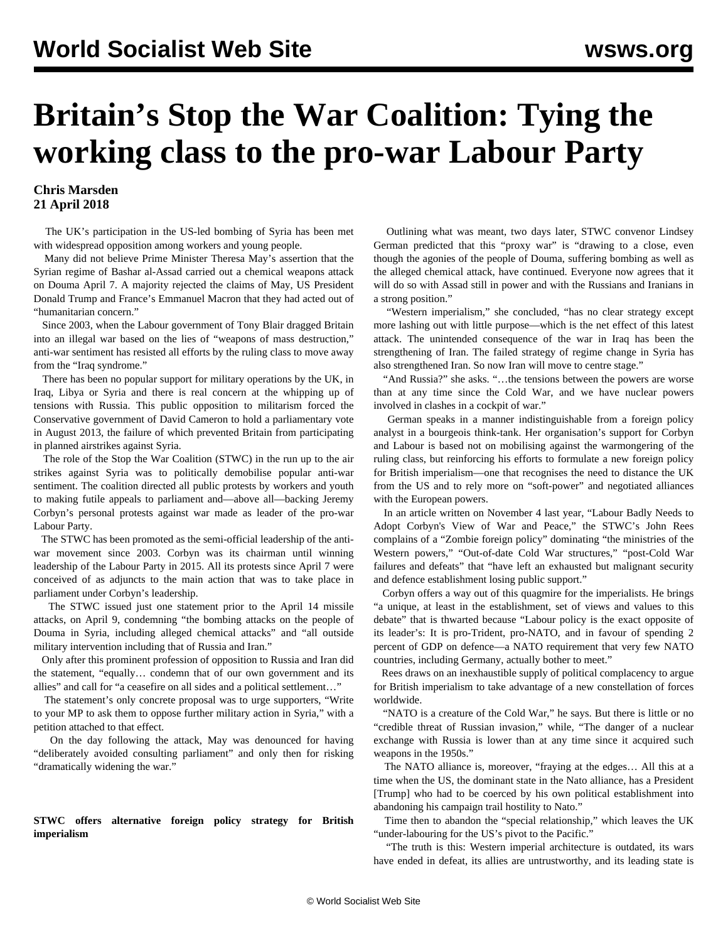# **Britain's Stop the War Coalition: Tying the working class to the pro-war Labour Party**

## **Chris Marsden 21 April 2018**

 The UK's participation in the US-led bombing of Syria has been met with widespread opposition among workers and young people.

 Many did not believe Prime Minister Theresa May's assertion that the Syrian regime of Bashar al-Assad carried out a chemical weapons attack on Douma April 7. A majority rejected the claims of May, US President Donald Trump and France's Emmanuel Macron that they had acted out of "humanitarian concern."

 Since 2003, when the Labour government of Tony Blair dragged Britain into an illegal war based on the lies of "weapons of mass destruction," anti-war sentiment has resisted all efforts by the ruling class to move away from the "Iraq syndrome."

 There has been no popular support for military operations by the UK, in Iraq, Libya or Syria and there is real concern at the whipping up of tensions with Russia. This public opposition to militarism forced the Conservative government of David Cameron to hold a parliamentary vote in August 2013, the failure of which prevented Britain from participating in planned airstrikes against Syria.

 The role of the Stop the War Coalition (STWC) in the run up to the air strikes against Syria was to politically demobilise popular anti-war sentiment. The coalition directed all public protests by workers and youth to making futile appeals to parliament and—above all—backing Jeremy Corbyn's personal protests against war made as leader of the pro-war Labour Party.

 The STWC has been promoted as the semi-official leadership of the antiwar movement since 2003. Corbyn was its chairman until winning leadership of the Labour Party in 2015. All its protests since April 7 were conceived of as adjuncts to the main action that was to take place in parliament under Corbyn's leadership.

 The STWC issued just one statement prior to the April 14 missile attacks, on April 9, condemning "the bombing attacks on the people of Douma in Syria, including alleged chemical attacks" and "all outside military intervention including that of Russia and Iran."

 Only after this prominent profession of opposition to Russia and Iran did the statement, "equally… condemn that of our own government and its allies" and call for "a ceasefire on all sides and a political settlement…"

 The statement's only concrete proposal was to urge supporters, "Write to your MP to ask them to oppose further military action in Syria," with a petition attached to that effect.

 On the day following the attack, May was denounced for having "deliberately avoided consulting parliament" and only then for risking "dramatically widening the war."

### **STWC offers alternative foreign policy strategy for British imperialism**

 Outlining what was meant, two days later, STWC convenor Lindsey German predicted that this "proxy war" is "drawing to a close, even though the agonies of the people of Douma, suffering bombing as well as the alleged chemical attack, have continued. Everyone now agrees that it will do so with Assad still in power and with the Russians and Iranians in a strong position."

 "Western imperialism," she concluded, "has no clear strategy except more lashing out with little purpose—which is the net effect of this latest attack. The unintended consequence of the war in Iraq has been the strengthening of Iran. The failed strategy of regime change in Syria has also strengthened Iran. So now Iran will move to centre stage."

 "And Russia?" she asks. "…the tensions between the powers are worse than at any time since the Cold War, and we have nuclear powers involved in clashes in a cockpit of war."

 German speaks in a manner indistinguishable from a foreign policy analyst in a bourgeois think-tank. Her organisation's support for Corbyn and Labour is based not on mobilising against the warmongering of the ruling class, but reinforcing his efforts to formulate a new foreign policy for British imperialism—one that recognises the need to distance the UK from the US and to rely more on "soft-power" and negotiated alliances with the European powers.

 In an article written on November 4 last year, "Labour Badly Needs to Adopt Corbyn's View of War and Peace," the STWC's John Rees complains of a "Zombie foreign policy" dominating "the ministries of the Western powers," "Out-of-date Cold War structures," "post-Cold War failures and defeats" that "have left an exhausted but malignant security and defence establishment losing public support."

 Corbyn offers a way out of this quagmire for the imperialists. He brings "a unique, at least in the establishment, set of views and values to this debate" that is thwarted because "Labour policy is the exact opposite of its leader's: It is pro-Trident, pro-NATO, and in favour of spending 2 percent of GDP on defence—a NATO requirement that very few NATO countries, including Germany, actually bother to meet."

 Rees draws on an inexhaustible supply of political complacency to argue for British imperialism to take advantage of a new constellation of forces worldwide.

 "NATO is a creature of the Cold War," he says. But there is little or no "credible threat of Russian invasion," while, "The danger of a nuclear exchange with Russia is lower than at any time since it acquired such weapons in the 1950s."

 The NATO alliance is, moreover, "fraying at the edges… All this at a time when the US, the dominant state in the Nato alliance, has a President [Trump] who had to be coerced by his own political establishment into abandoning his campaign trail hostility to Nato."

 Time then to abandon the "special relationship," which leaves the UK "under-labouring for the US's pivot to the Pacific."

 "The truth is this: Western imperial architecture is outdated, its wars have ended in defeat, its allies are untrustworthy, and its leading state is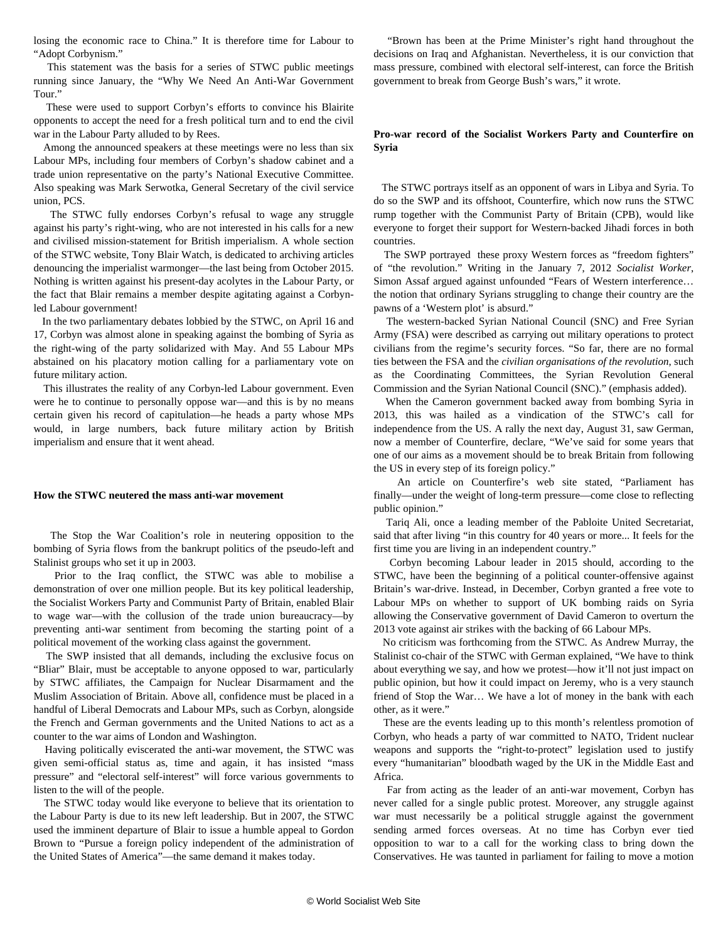losing the economic race to China." It is therefore time for Labour to "Adopt Corbynism."

 This statement was the basis for a series of STWC public meetings running since January, the "Why We Need An Anti-War Government Tour."

 These were used to support Corbyn's efforts to convince his Blairite opponents to accept the need for a fresh political turn and to end the civil war in the Labour Party alluded to by Rees.

 Among the announced speakers at these meetings were no less than six Labour MPs, including four members of Corbyn's shadow cabinet and a trade union representative on the party's National Executive Committee. Also speaking was Mark Serwotka, General Secretary of the civil service union, PCS.

 The STWC fully endorses Corbyn's refusal to wage any struggle against his party's right-wing, who are not interested in his calls for a new and civilised mission-statement for British imperialism. A whole section of the STWC website, Tony Blair Watch, is dedicated to archiving articles denouncing the imperialist warmonger—the last being from October 2015. Nothing is written against his present-day acolytes in the Labour Party, or the fact that Blair remains a member despite agitating against a Corbynled Labour government!

 In the two parliamentary debates lobbied by the STWC, on April 16 and 17, Corbyn was almost alone in speaking against the bombing of Syria as the right-wing of the party solidarized with May. And 55 Labour MPs abstained on his placatory motion calling for a parliamentary vote on future military action.

 This illustrates the reality of any Corbyn-led Labour government. Even were he to continue to personally oppose war—and this is by no means certain given his record of capitulation—he heads a party whose MPs would, in large numbers, back future military action by British imperialism and ensure that it went ahead.

#### **How the STWC neutered the mass anti-war movement**

 The Stop the War Coalition's role in neutering opposition to the bombing of Syria flows from the bankrupt politics of the pseudo-left and Stalinist groups who set it up in 2003.

 Prior to the Iraq conflict, the STWC was able to mobilise a demonstration of over one million people. But its key political leadership, the Socialist Workers Party and Communist Party of Britain, enabled Blair to wage war—with the collusion of the trade union bureaucracy—by preventing anti-war sentiment from becoming the starting point of a political movement of the working class against the government.

 The SWP insisted that all demands, including the exclusive focus on "Bliar" Blair, must be acceptable to anyone opposed to war, particularly by STWC affiliates, the Campaign for Nuclear Disarmament and the Muslim Association of Britain. Above all, confidence must be placed in a handful of Liberal Democrats and Labour MPs, such as Corbyn, alongside the French and German governments and the United Nations to act as a counter to the war aims of London and Washington.

 Having politically eviscerated the anti-war movement, the STWC was given semi-official status as, time and again, it has insisted "mass pressure" and "electoral self-interest" will force various governments to listen to the will of the people.

 The STWC today would like everyone to believe that its orientation to the Labour Party is due to its new left leadership. But in 2007, the STWC used the imminent departure of Blair to issue a humble appeal to Gordon Brown to "Pursue a foreign policy independent of the administration of the United States of America"—the same demand it makes today.

 "Brown has been at the Prime Minister's right hand throughout the decisions on Iraq and Afghanistan. Nevertheless, it is our conviction that mass pressure, combined with electoral self-interest, can force the British government to break from George Bush's wars," it wrote.

#### **Pro-war record of the Socialist Workers Party and Counterfire on Syria**

 The STWC portrays itself as an opponent of wars in Libya and Syria. To do so the SWP and its offshoot, Counterfire, which now runs the STWC rump together with the Communist Party of Britain (CPB), would like everyone to forget their support for Western-backed Jihadi forces in both countries.

 The SWP [portrayed](/en/articles/2012/02/bswp-f15.html) these proxy Western forces as "freedom fighters" of "the revolution." Writing in the January 7, 2012 *Socialist Worker*, Simon Assaf argued against unfounded "Fears of Western interference… the notion that ordinary Syrians struggling to change their country are the pawns of a 'Western plot' is absurd."

 The western-backed Syrian National Council (SNC) and Free Syrian Army (FSA) were described as carrying out military operations to protect civilians from the regime's security forces. "So far, there are no formal ties between the FSA and the *civilian organisations of the revolution*, such as the Coordinating Committees, the Syrian Revolution General Commission and the Syrian National Council (SNC)." (emphasis added).

 When the Cameron government backed away from bombing Syria in 2013, this was hailed as a vindication of the STWC's call for independence from the US. A rally the next day, August 31, saw German, now a member of Counterfire, declare, "We've said for some years that one of our aims as a movement should be to break Britain from following the US in every step of its foreign policy."

 An article on Counterfire's web site stated, "Parliament has finally—under the weight of long-term pressure—come close to reflecting public opinion."

 Tariq Ali, once a leading member of the Pabloite United Secretariat, said that after living "in this country for 40 years or more... It feels for the first time you are living in an independent country."

 Corbyn becoming Labour leader in 2015 should, according to the STWC, have been the beginning of a political counter-offensive against Britain's war-drive. Instead, in December, Corbyn granted a free vote to Labour MPs on whether to support of UK bombing raids on Syria allowing the Conservative government of David Cameron to overturn the 2013 vote against air strikes with the backing of 66 Labour MPs.

 No criticism was forthcoming from the STWC. As Andrew Murray, the Stalinist co-chair of the STWC with German explained, "We have to think about everything we say, and how we protest—how it'll not just impact on public opinion, but how it could impact on Jeremy, who is a very staunch friend of Stop the War… We have a lot of money in the bank with each other, as it were."

 These are the events leading up to this month's relentless promotion of Corbyn, who heads a party of war committed to NATO, Trident nuclear weapons and supports the "right-to-protect" legislation used to justify every "humanitarian" bloodbath waged by the UK in the Middle East and Africa.

 Far from acting as the leader of an anti-war movement, Corbyn has never called for a single public protest. Moreover, any struggle against war must necessarily be a political struggle against the government sending armed forces overseas. At no time has Corbyn ever tied opposition to war to a call for the working class to bring down the Conservatives. He was taunted in parliament for failing to move a motion